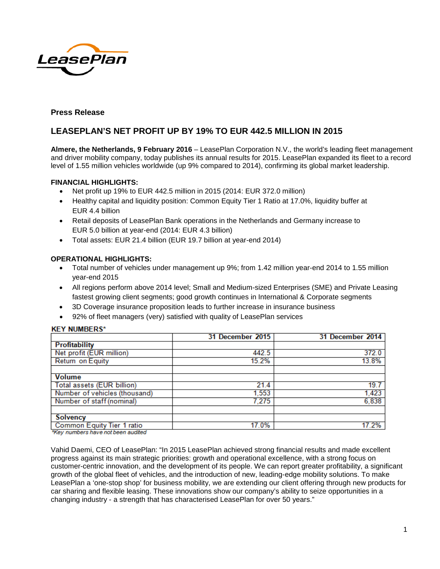

# **Press Release**

# **LEASEPLAN'S NET PROFIT UP BY 19% TO EUR 442.5 MILLION IN 2015**

**Almere, the Netherlands, 9 February 2016** – LeasePlan Corporation N.V., the world's leading fleet management and driver mobility company, today publishes its annual results for 2015. LeasePlan expanded its fleet to a record level of 1.55 million vehicles worldwide (up 9% compared to 2014), confirming its global market leadership.

# **FINANCIAL HIGHLIGHTS:**

- Net profit up 19% to EUR 442.5 million in 2015 (2014: EUR 372.0 million)
- Healthy capital and liquidity position: Common Equity Tier 1 Ratio at 17.0%, liquidity buffer at EUR 4.4 billion
- Retail deposits of LeasePlan Bank operations in the Netherlands and Germany increase to EUR 5.0 billion at year-end (2014: EUR 4.3 billion)
- Total assets: EUR 21.4 billion (EUR 19.7 billion at year-end 2014)

# **OPERATIONAL HIGHLIGHTS:**

- Total number of vehicles under management up 9%; from 1.42 million year-end 2014 to 1.55 million year-end 2015
- All regions perform above 2014 level; Small and Medium-sized Enterprises (SME) and Private Leasing fastest growing client segments; good growth continues in International & Corporate segments
- 3D Coverage insurance proposition leads to further increase in insurance business
- 92% of fleet managers (very) satisfied with quality of LeasePlan services

#### **KFY NUMBERS\***

|                                                                                                                                                                                                                                                                     | 31 December 2015 | 31 December 2014 |
|---------------------------------------------------------------------------------------------------------------------------------------------------------------------------------------------------------------------------------------------------------------------|------------------|------------------|
| <b>Profitability</b>                                                                                                                                                                                                                                                |                  |                  |
| Net profit (EUR million)                                                                                                                                                                                                                                            | 442.5            | 372.0            |
| Return on Equity                                                                                                                                                                                                                                                    | 15.2%            | 13.8%            |
|                                                                                                                                                                                                                                                                     |                  |                  |
| <b>Volume</b>                                                                                                                                                                                                                                                       |                  |                  |
| Total assets (EUR billion)                                                                                                                                                                                                                                          | 21.4             | 19.7             |
| Number of vehicles (thousand)                                                                                                                                                                                                                                       | 1.553            | 1,423            |
| Number of staff (nominal)                                                                                                                                                                                                                                           | 7.275            | 6,838            |
|                                                                                                                                                                                                                                                                     |                  |                  |
| <b>Solvency</b>                                                                                                                                                                                                                                                     |                  |                  |
| <b>Common Equity Tier 1 ratio</b><br>the first company of the company of the same company of the company of the company of the company of the company of the company of the company of the company of the company of the company of the company of the company of t | 17.0%            | 17.2%            |

\*Key numbers have not been audited

Vahid Daemi, CEO of LeasePlan: "In 2015 LeasePlan achieved strong financial results and made excellent progress against its main strategic priorities: growth and operational excellence, with a strong focus on customer-centric innovation, and the development of its people. We can report greater profitability, a significant growth of the global fleet of vehicles, and the introduction of new, leading-edge mobility solutions. To make LeasePlan a 'one-stop shop' for business mobility, we are extending our client offering through new products for car sharing and flexible leasing. These innovations show our company's ability to seize opportunities in a changing industry - a strength that has characterised LeasePlan for over 50 years."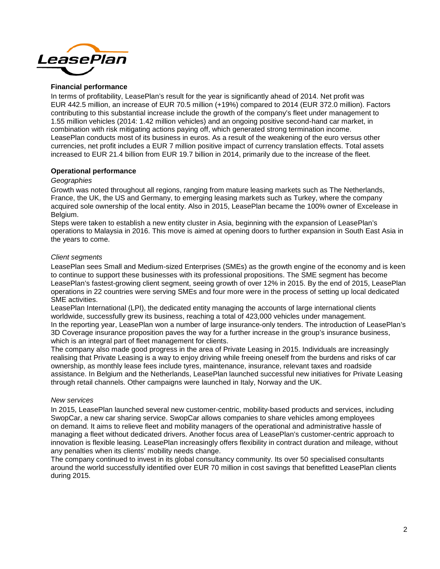

# **Financial performance**

In terms of profitability, LeasePlan's result for the year is significantly ahead of 2014. Net profit was EUR 442.5 million, an increase of EUR 70.5 million (+19%) compared to 2014 (EUR 372.0 million). Factors contributing to this substantial increase include the growth of the company's fleet under management to 1.55 million vehicles (2014: 1.42 million vehicles) and an ongoing positive second-hand car market, in combination with risk mitigating actions paying off, which generated strong termination income. LeasePlan conducts most of its business in euros. As a result of the weakening of the euro versus other currencies, net profit includes a EUR 7 million positive impact of currency translation effects. Total assets increased to EUR 21.4 billion from EUR 19.7 billion in 2014, primarily due to the increase of the fleet.

# **Operational performance**

#### *Geographies*

Growth was noted throughout all regions, ranging from mature leasing markets such as The Netherlands, France, the UK, the US and Germany, to emerging leasing markets such as Turkey, where the company acquired sole ownership of the local entity. Also in 2015, LeasePlan became the 100% owner of Excelease in Belgium.

Steps were taken to establish a new entity cluster in Asia, beginning with the expansion of LeasePlan's operations to Malaysia in 2016. This move is aimed at opening doors to further expansion in South East Asia in the years to come.

# *Client segments*

LeasePlan sees Small and Medium-sized Enterprises (SMEs) as the growth engine of the economy and is keen to continue to support these businesses with its professional propositions. The SME segment has become LeasePlan's fastest-growing client segment, seeing growth of over 12% in 2015. By the end of 2015, LeasePlan operations in 22 countries were serving SMEs and four more were in the process of setting up local dedicated SME activities.

LeasePlan International (LPI), the dedicated entity managing the accounts of large international clients worldwide, successfully grew its business, reaching a total of 423,000 vehicles under management. In the reporting year, LeasePlan won a number of large insurance-only tenders. The introduction of LeasePlan's 3D Coverage insurance proposition paves the way for a further increase in the group's insurance business, which is an integral part of fleet management for clients.

The company also made good progress in the area of Private Leasing in 2015. Individuals are increasingly realising that Private Leasing is a way to enjoy driving while freeing oneself from the burdens and risks of car ownership, as monthly lease fees include tyres, maintenance, insurance, relevant taxes and roadside assistance. In Belgium and the Netherlands, LeasePlan launched successful new initiatives for Private Leasing through retail channels. Other campaigns were launched in Italy, Norway and the UK.

#### *New services*

In 2015, LeasePlan launched several new customer-centric, mobility-based products and services, including SwopCar, a new car sharing service. SwopCar allows companies to share vehicles among employees on demand. It aims to relieve fleet and mobility managers of the operational and administrative hassle of managing a fleet without dedicated drivers. Another focus area of LeasePlan's customer-centric approach to innovation is flexible leasing. LeasePlan increasingly offers flexibility in contract duration and mileage, without any penalties when its clients' mobility needs change.

The company continued to invest in its global consultancy community. Its over 50 specialised consultants around the world successfully identified over EUR 70 million in cost savings that benefitted LeasePlan clients during 2015.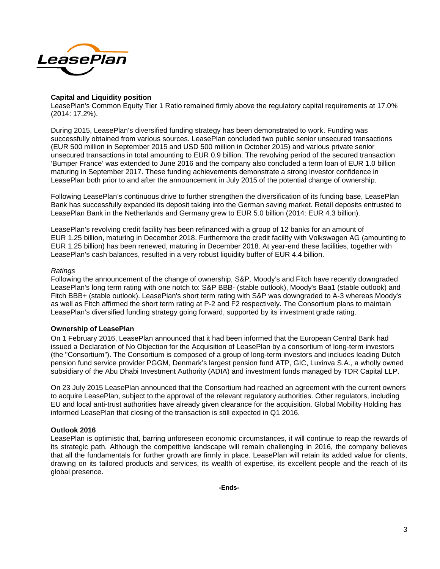

# **Capital and Liquidity position**

LeasePlan's Common Equity Tier 1 Ratio remained firmly above the regulatory capital requirements at 17.0% (2014: 17.2%).

During 2015, LeasePlan's diversified funding strategy has been demonstrated to work. Funding was successfully obtained from various sources. LeasePlan concluded two public senior unsecured transactions (EUR 500 million in September 2015 and USD 500 million in October 2015) and various private senior unsecured transactions in total amounting to EUR 0.9 billion. The revolving period of the secured transaction 'Bumper France' was extended to June 2016 and the company also concluded a term loan of EUR 1.0 billion maturing in September 2017. These funding achievements demonstrate a strong investor confidence in LeasePlan both prior to and after the announcement in July 2015 of the potential change of ownership.

Following LeasePlan's continuous drive to further strengthen the diversification of its funding base, LeasePlan Bank has successfully expanded its deposit taking into the German saving market. Retail deposits entrusted to LeasePlan Bank in the Netherlands and Germany grew to EUR 5.0 billion (2014: EUR 4.3 billion).

LeasePlan's revolving credit facility has been refinanced with a group of 12 banks for an amount of EUR 1.25 billion, maturing in December 2018. Furthermore the credit facility with Volkswagen AG (amounting to EUR 1.25 billion) has been renewed, maturing in December 2018. At year-end these facilities, together with LeasePlan's cash balances, resulted in a very robust liquidity buffer of EUR 4.4 billion.

#### *Ratings*

Following the announcement of the change of ownership, S&P, Moody's and Fitch have recently downgraded LeasePlan's long term rating with one notch to: S&P BBB- (stable outlook), Moody's Baa1 (stable outlook) and Fitch BBB+ (stable outlook). LeasePlan's short term rating with S&P was downgraded to A-3 whereas Moody's as well as Fitch affirmed the short term rating at P-2 and F2 respectively. The Consortium plans to maintain LeasePlan's diversified funding strategy going forward, supported by its investment grade rating.

#### **Ownership of LeasePlan**

On 1 February 2016, LeasePlan announced that it had been informed that the European Central Bank had issued a Declaration of No Objection for the Acquisition of LeasePlan by a consortium of long-term investors (the "Consortium"). The Consortium is composed of a group of long-term investors and includes leading Dutch pension fund service provider PGGM, Denmark's largest pension fund ATP, GIC, Luxinva S.A., a wholly owned subsidiary of the Abu Dhabi Investment Authority (ADIA) and investment funds managed by TDR Capital LLP.

On 23 July 2015 LeasePlan announced that the Consortium had reached an agreement with the current owners to acquire LeasePlan, subject to the approval of the relevant regulatory authorities. Other regulators, including EU and local anti-trust authorities have already given clearance for the acquisition. Global Mobility Holding has informed LeasePlan that closing of the transaction is still expected in Q1 2016.

# **Outlook 2016**

LeasePlan is optimistic that, barring unforeseen economic circumstances, it will continue to reap the rewards of its strategic path. Although the competitive landscape will remain challenging in 2016, the company believes that all the fundamentals for further growth are firmly in place. LeasePlan will retain its added value for clients, drawing on its tailored products and services, its wealth of expertise, its excellent people and the reach of its global presence.